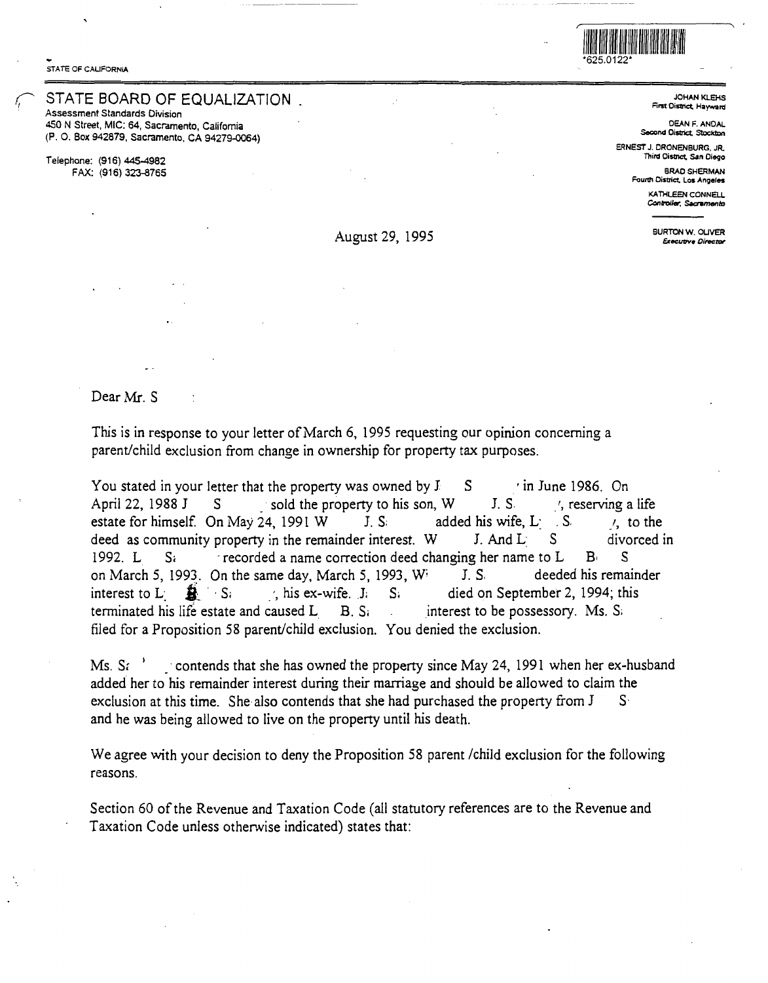STATE OF CALIFORNIA

## STATE BOARD OF EQUALIZATION

Assessment Standards Division 450 N Street, MIC: 64, Sacramento, California (P. 0. Box 942879, Sacramento, CA 94279-0064)

Telephone: (916) 445-4982 FAX: (916) 323-8765



**JOHAN KLEHS** First District, Hayward

DEAN F. ANDAL Second District. Stockto

[ERNESTJ.DRONENBURG.JR](https://ERNESTJ.DRONENBURG.JR). Third Oistrict, San Diego

BRAO SHERMAN Foun!I District. Los **Angeles** 

KATHLEEN CONNELL **Conlrol/er, Saaamenlo** 

BURTON W. OLIVER August 29, 1995 **Executive Director** 

Dear Mr. S

This is in response to your letter of March 6, 1995 requesting our opinion concerning a parent/child exclusion from change in ownership for property tax purposes.

You stated in your letter that the property was owned by  $J = S$  in June 1986. On April 22, 1988 J  $S$  sold the property to his son, W J. S. , reserving a life estate for himself. On May 24, 1991 W J. S; added his wife, L: . S. *j*, to the deed as community property in the remainder interest. W J. And L: S. divorced in deed as community property in the remainder interest.  $W = J$ . And  $L = S$ 1992. L  $S_i$  recorded a name correction deed changing her name to L  $B_i$  S on March 5, 1993. On the same day, March 5, 1993, William S. S. deeded his remainder interest to L:  $\frac{1}{20}$   $\cdot$  S;  $\cdot$  his ex-wife. J; S; died on September 2, 1994; this terminated his life estate and caused L  $B. S_i$  interest to be possessory. Ms. S. filed for a Proposition 58 parent/child exclusion. You denied the exclusion.

Ms.  $Si$ \_ contends that she has owned the property since May 24, 1991 when her ex-husband added her to his remainder interest during their marriage and should be allowed to claim the exclusion at this time. She also contends that she had purchased the property from J S. and he was being allowed to live on the property until his death.

We agree with your decision to deny the Proposition 58 parent /child exclusion for the following reasons.

Section 60 of the Revenue and Taxation Code (all statutory references are to the Revenue and Taxation Code unless otherwise indicated) states that: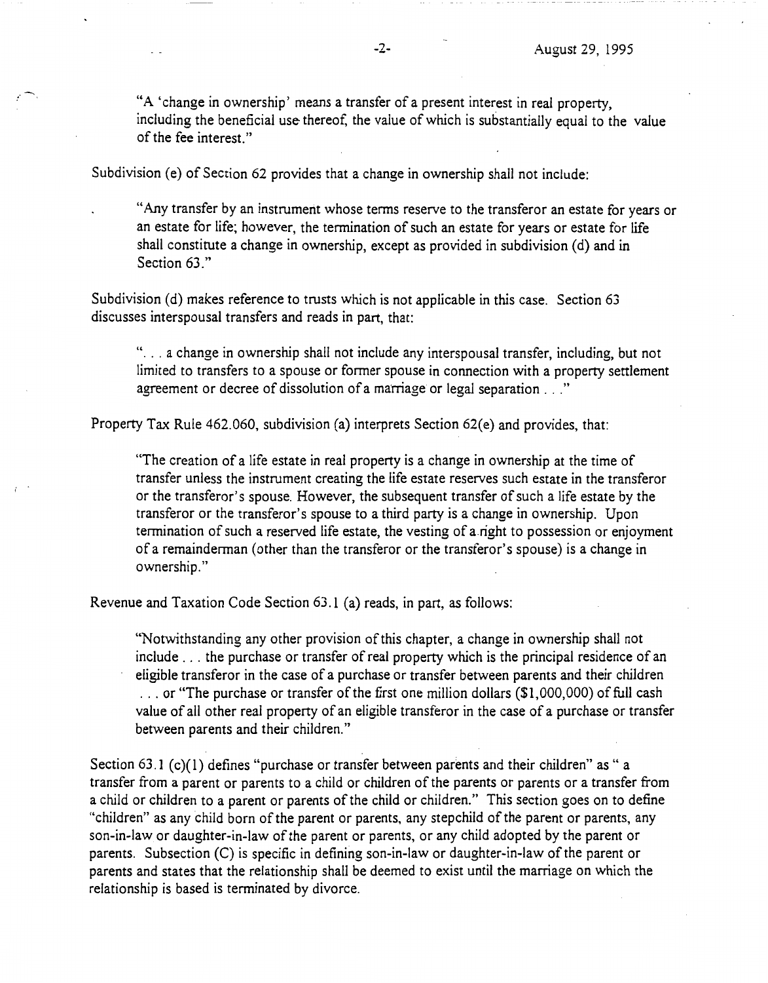"A 'change in ownership' means a transfer of a present interest in real property, including the beneficial use thereof, the value of which is substantially equal to the value of the fee interest."

Subdivision (e) of Section 62 provides that a change in ownership shall not include:

"Any transfer by an instrument whose terms reserve to the transferor an estate for years or an estate for life; however, the termination of such an estate for years or estate for life shall constitute a change in ownership, except as provided in subdivision (d) and in Section 63<sup>"</sup>

Subdivision (d) makes reference to trusts which is not applicable in this case. Section 63 discusses interspousal transfers and reads in part, that:

"... a change in ownership shall not include any interspousal transfer, including, but not limited to transfers to a spouse or former spouse in connection with a property settlement agreement or decree of dissolution of a marriage or legal separation ..."

Property Tax Rule 462.060, subdivision (a) interprets Section 62(e) and provides, that:

"The creation of a life estate in real property is a change in ownership at the time of transfer unless the instrument creating the life estate reserves such estate in the transferor or the transferor's spouse. However, the subsequent transfer of such a life estate by the transferor or the transferor's spouse to a third party is a change in ownership. Upon termination of such a reserved life estate, the vesting of a right to possession or enjoyment of a remainderman ( other than the transferor or the transferor's spouse) is a change in ownership."

Revenue and Taxation Code Section 63.1 (a) reads, in part, as follows:

"Notwithstanding any other provision ofthis chapter, a change in ownership shall not include ... the purchase or transfer of real property which is the principal residence of an eligible transferor in the case of a purchase or transfer between parents and their children  $\ldots$  or "The purchase or transfer of the first one million dollars (\$1,000,000) of full cash value of all other real property of an eligible transferor in the case of a purchase or transfer between parents and their children."

Section 63.1 (c)(1) defines "purchase or transfer between parents and their children" as " a transfer from a parent or parents to a child or children of the parents or parents or a transfer from a child or children to a parent or parents of the child or children." This section goes on to define "children" as any child born of the parent or parents, any stepchild of the parent or parents, any son-in-law or daughter-in-law of the parent or parents, or any child adopted by the parent or parents. Subsection (C) is specific in defining son-in-law or daughter-in-law of the parent or parents and states that the relationship shall be deemed to exist until the marriage on which the relationship is based is terminated by divorce.